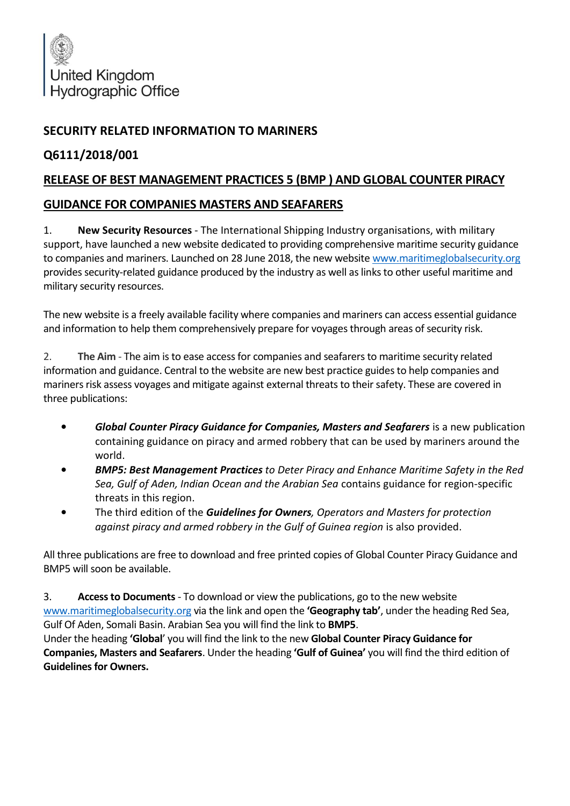

## **SECURITY RELATED INFORMATION TO MARINERS**

## **Q6111/2018/001**

## **RELEASE OF BEST MANAGEMENT PRACTICES 5 (BMP ) AND GLOBAL COUNTER PIRACY**

## **GUIDANCE FOR COMPANIES MASTERS AND SEAFARERS**

1. **New Security Resources** - The International Shipping Industry organisations, with military support, have launched a new website dedicated to providing comprehensive maritime security guidance to companies and mariners. Launched on 28 June 2018, the new website [www.maritimeglobalsecurity.org](http://www.maritimeglobalsecurity.org/) provides security-related guidance produced by the industry as well as links to other useful maritime and military security resources.

The new website is a freely available facility where companies and mariners can access essential guidance and information to help them comprehensively prepare for voyages through areas of security risk.

2. **The Aim** - The aim is to ease access for companies and seafarers to maritime security related information and guidance. Central to the website are new best practice guides to help companies and mariners risk assess voyages and mitigate against external threats to their safety. These are covered in three publications:

- *Global Counter Piracy Guidance for Companies, Masters and Seafarers* is a new publication containing guidance on piracy and armed robbery that can be used by mariners around the world.
- *BMP5: Best Management Practices to Deter Piracy and Enhance Maritime Safety in the Red Sea, Gulf of Aden, Indian Ocean and the Arabian Sea* contains guidance for region-specific threats in this region.
- The third edition of the *Guidelines for Owners, Operators and Masters for protection against piracy and armed robbery in the Gulf of Guinea region* is also provided.

All three publications are free to download and free printed copies of Global Counter Piracy Guidance and BMP5 will soon be available.

3. **Access to Documents**- To download or view the publications, go to the new website [www.maritimeglobalsecurity.org](http://www.maritimeglobalsecurity.org/) via the link and open the **'Geography tab'**, under the heading Red Sea, Gulf Of Aden, Somali Basin. Arabian Sea you will find the link to **BMP5**.

Under the heading **'Global**' you will find the link to the new **Global Counter Piracy Guidance for Companies, Masters and Seafarers**. Under the heading **'Gulf of Guinea'** you will find the third edition of **Guidelines for Owners.**